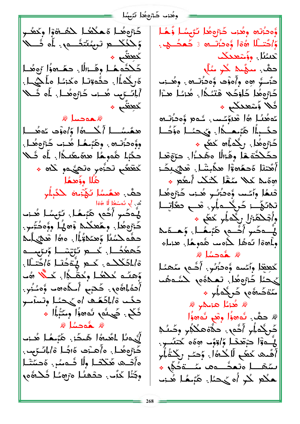وهُذب كَبْرُوهُا لَّهُمْا كَرَّوهُا هَمْلَاهُا لِلْهُـةَوْا وِكْعُـو وُّەدْرَتْھ وَهُٰٓوَٮ خُرَّوۡهُٰٓدَا تَوَّبِّسُا وَُّـٰٓعَا ۇلمىڭگ ھ تېپئىتىشىمى. لمَّە ئَــــلاً ۡكَعِفُنُمۡ ﴾ تْنْتَئَالُ. وَوُّسْعَدْكُمْ كَلَاثُمْ هُــا وِكَّــْ;الًا . حَـمَّــبَوْا وَوَهُــا حقٍّ. سهٌىھ كُبْرِ سُلَّى ەُرېڭە)ا. حثّەقتا ەڭزئا ەلّىكىا. جَنُّبُ وَهِ وِأَوْنُو وُوجَنَّسُو . وِهُــٰزِب ٱلمِكْــرَٰــه لَهَــزَاتِ هُدَارِ مِنْ اللَّهُ شَــدَلا ﴾ [مراسم عند الله عند السَّاسم عند السَّاسم دَرْوهُا دَاوْدُ هْتَىْدًا. هُنَىْلِ هِـْزَا ئُلا ؤَسْعِدِكُم ﴾ كعِنْفُ \* كَمْعَنَّالُ الْمَالِكِيْتِ وَالْمُحَمَّدِينَ مِنْ الْمَرْكَةِ وَالْمَرْسَوْنَ 2 Luscal همَّسُـــا أَكْــــهُا وَٱوْوَت عَوْصُـــا حدَّجِلًا هَبُعِيمًا. وَيُحِسُلُ وَوَُحُسَلَ جُرُوهُا. رِجُمْءُ مَكْمٌ \* وؤُهِ دُرْتُـرُهُ . وهُبُمْـمُــا هُــزَبِ دَرْرُهِ هُــا . حكُبُا هُومِهُا هِهَمْكُلُّهُا. لَمَ ثَــٰهُ حكَكْتَهْا وفَرْالُا مِعْدُرُا. حرَّةِمْدا أَهْتِبْلَ هَجِمُوةًا مِدْبِتْيَا. مْكِيبِجَةَ تحققكم تكأوم وتعيَّمو لَاه \* وَهَما كَمَلا مُتَقَلِّكُمْ لَا تُعْمَلُ ﴾ حُلًّا وؤُهمُا تَعَمُّا وِٱحْسَدَ وُودُنُـٰدٍ هُـٰٓندَ كَأَوْوَهُـٰا حڤ. همُسُا نَيْءَة لِكَبْلُو لَّهِ ﴾ لَه سُعُل لَا هُهَا تَكْنَهُـــز حُـرِجُـــو بُر. مْنــــو حَعَّاتِــا لْمُعَصِّرِ أَثَمِ هَبُسُمَا. تَرَّبِسُا هُـ;ٮ |وأقمحتَهُ إلى إيضاء بن محمد \* دَرْوهُا. وِهَعكْما وْ3لْمْ وِوْهكْنِي. لُ ہے کہ اُنھی کَبُسُماً. وَسَــَمَـٰمَ حفُّه كْسُلًا وُهْكُمْوَّلًا. وْݣَالْ هُكْلَ لَمْكَ وِلْهِ ٱلْأَهْمَالِ لِأَوْمِدِ هُوهَا. هزماء كَهِمُكُــا. كَـــمِ تَوُّتِسْــا وُتَوْمِـــم @ Lioce @ ة/لمَكْلِدِ . كَنْعَ لِمُقَدُّلَ هَ/خُتْبًا . كَعِنِقِا وَأَمِّيه وُودَٰئِنِ. أَشَّمِ مَعْشَا وَهنّـه عُلْظُـا وِحُقُّـوٗا. كَــُّلًا هُــ لَّكِحِمًا خَرَّوهُمْ. تَعْجَفُو، حَشَّوهُم أَحدُ إِنَّهَ بِهِ خَدَبِ أَسْلَمُوهِ وَوَسُنُو. مَّةَحُدَةُهِ، حُرِبُّدَءُ \* حكًـــ ة/إدّهَـف إه حُحمًــا وتسآسو **& هُزنا عزمام &** ثَكُمْ. كَيْشُمْ شُدْوَّا وِمُنْزَهَا \* ® حقّ ِ. ثُـ٥ووُّل وِثْعِ اللَّـ٥ووُّل 2 Lisaie 2 كُرِبُكُمْلُو أُدُّهِ. حِكْمٌوعَكُمُو وِكْسُمْ أَيُوبًا لمُعْبَدُ الْأَمَيْنَ مِنْهُمْ اللَّهِ مِنْ لَى وَوَّا دَبِّعْدًا وَاوْوُ وَوَّهُ كَتْتَسُو. دَرْوهُــا. ه/ُهــْت هَائُــا هْ/إِنَّــرِّب. أَقَىھ كَعَى لَاكْدَهُا. وَحَسَر كِنْتُهُمْ هأُدْــِ هَـٰذَٰكَــا ولًا خُــومُـرٍ. وَحِمَتْــا وِجَتُا كَدًى. حثَّفْسًا هَرْهِمُا ثُكْرُهُم هكع كُمْ أَهْ يُحِبْلُ. هَبُهُما هُـزَم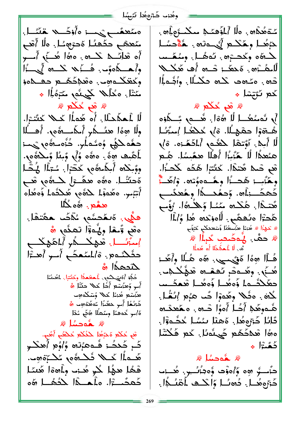وهُذب كَبْرُوهُا لَّهُمْا

ومكتف مك أود المستكم ومتكففه مَعْتَمِ حَكَمْلًا هُجْرَهْنَا. هَلَا أَهْبِ أَه قُعَلَنَـــم كَـــــره وهُ الْمُحَـــزَى أُمـــــر وأحسكُووًب فُسَنَد لَمْسِ الْمَسْرَأَ وكغككءهم ومعاجككم وحصكاه مْ الْمِهْبَمْ مِشْرِكْمْ كْمَالْمْهِ . لَتْنْمَ  $\circledR$   $\circledR$   $\circledR$ لًا أحكَمحْلا. أو هُومُلاً حُملاً حُتْثَرًا. وِلَا هِهُ! هنُـــدُرِ أَــدُـــــرهُ٥. أُهــــُلا نىم بەڭ بەلگەن. كەن ئەسكەن ئېنىز ـِلۡصَّدِ وَهُ . دَوۡهُ وَلَىٰ وَۡبِىٰۤا وَۡمِـٰلَاهُوۡ، وؤبكه أبكمة م كتم! ـُـتمْا لِـُتْـا ەَحَتَّـًا. ەۋە ھەھْرا كەۋە ئىس أُبْبُسِ. وهُدوْما لِمِثْنَى هُلِكُما وُوهُا ﴾ محمَّم . وَهُ كُلّا هِمِّي. هَىمُحِشَى مُكْضَ هِمُتَقَلِّ. ەھْ**م تُىھْا وِيُ**ەتْا تْعْثُم ، ئ إِسْتَنْسَا. شَهْكُمْ أَمْاهُهْكُمْ إِ حثَكْتُوم. ةالمُتَعَصَّعِ أُسِرِ أُهْتَزَا للتحمل ه دُمُو أَهْتِيكُم، أَحْقَحَمُّا وِكْتُتِرَا. لِمُحْمَّلَا أُسِ وَهزَسْمِ أَجْلٍ حُلاً حَتَنُلٍ قُ هَزَسْمٍ هُزْئِلٌ كَلاَ وُسْكُمُهِمْ كَتْتُمُّا أُسِ حَعَّدُّا عَمَّقَةِ مِ <del>قُ</del> ەُ/ىر ئەھدُا ومَّىماْا ھُي مُدَّا A Lisca A قَعِ غَكُمْ مُحَمِّدًا لَحَكُمْ عُلَمَتُمْ أَهُمْ. كُـرٖ كُـدكُـ; ڤـه6رُكُ وُ/وُم أُهـْكُــږ هُـهِمَا كَــلا فُكْــةُم كُــرَةَمِــ. فَعُا هِجُا كُدٍ هُـ: وأَ90\$ هُنَـا كُعِثَمِــْتْلْ. وَلَمِــدْا لِكَحُفُــا وَهُ

عْـةْهُدّْ5ْهِ . وَلَٰلَ ٱلْمُؤْهِمَّـهِ مِمْكُمْ وَْعِلُّهُ . حَبْعُها وِهَكُمْ لَيُحِصْدُ . هُؤْدِسُها لمكره وكحشره وتحفظ ومنكسب لَّامِصْـْ;ہ . هُ حكَـٰـز صْــهِ أُهـ هَــُـــلا دُّه . مَـُهِ مَـ لَـْـهِ مَـلَّـلًا . وَأَهُـم}ُّا **کم نَوْتِشا \*** ه تع مُكم ه فَهَ مُعَصًّا لَمَّا هُ مَا. هُــــمِ مِّـــكَمْوَه هُــقوْا حمْدِـلًا. 16 مُحْفُـا إمنُّنُـا لَا أَبِي. آَوَّتِمْا لِحَقُمٍ أَلْمَضَوْهِ. قَ/ هنُعجَالِ الْمُنَبِّزَا أَهْلَا هِمُبِيبًا. هُـع هُم شَـٰهُ مُتَمَّا. كَنُتَ الْهَكَم كَحـُ:ا. وهَنْبِ: هُدِيُرا وِهُدِهِ وَاللَّهُ وَٱلْحَمَدُّ كُهكُمْ: أَه. وَحمُدْ الْمُ وهُهنَب مُتَـٰٰٓءُا ۢ. هُكُـُدُ مِّنُـا وَلِكُـٰدُهُا. رُؤُب هَٰحَۃًا منُعمَّى ِ. لَامِوْكُده هُا وُاٰ لَمَا ا @ تَكِمْ أَلْ هُوْمًا هَ مُحَمَّدًا وُ مُعَكِّبٍ كَبَوْبٍ فَـأَا هِهُا هَيْمِـــِي. هَه هُـُلَا وِٱهۡــٰز هُــَنٌٖ، وِهُـــهِ وَرُ نَفْعٌــهِ هُــؤُكْــدِ . حعَكْشُــما وُمعُــا وُمعُــا مْعَصَّــت كُلُّهَ. وَثَلاً وِهُوَا مُّد هَزُم إِنْغَا. هُـوهَٰ\$ أَحُـا أُووُا حْـره . معُعدْته دَّاىُا دَرَّوهُا. هُھِنَا بِيُسُل كُحُووَّا. هُ الْمَكْمُمِ لِهُ مُحْمَدِهِ مَكْتُمْا أَمْهِ كَمُتْرَا ۞ 2 Luida 2 جَنُّبُ وَهِ وَإِهْوَدٍ وَهُجَنُّبِ وَلَا يَوْمِيَا لِهِ مَ دُرْوهُــا. دُهسُـا وُاتْــْـْ لَمْشُــهُا.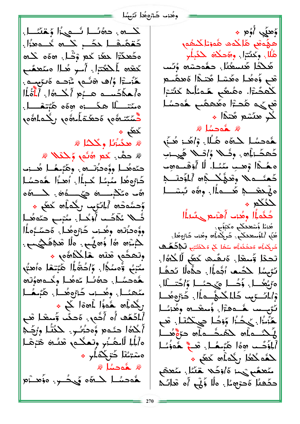وهُنم حُبْرُهِهُا لَهُمْا

كَعْمُدْهَا حَكَّمٍ كَلَّهُ كُلِّمَهْ إِ. وَحُعِكْتَرَا حِعَدَ كُمْ وَتَدَا. 300 كَلَهِ كَعْدَه لَمَكْتَبَرا. أُسو هُـال مَمْعَمَّب هَزُّتُوا وُ}َ هَ شَمْعٍ غُرْضِهِ هَ نَوْمِيهِ . ه أهكَمُحَسِبِ صَبَرَهِ أَحْسَنُهَا. أَغَذَّنَا ەمئتىگا ھكەن ھۇق ھۇتىھىل. رەۋەلمڭ رەۋملەقكە رەۋمىتىنىڭ گھُم \* ه همْنُوْنَا وِكْلْمَا & ه حقٌّ. كُم هُنُّو وَ لِكَفِّلا هِ حمّەهُــا وِوُەدَاتْــە . وِهُبُـمُــا هُـــات كَرْوَهُا مُبِىُـا كُـبِـاًا. ٱهـزُا هُـ٥حِسُـا قُ مَنْكُرْبِ فَيْ مَهْشَدُ وَيُحْمَدُ مَنْ مَنْ وَحِشَّەتُدە ٱلْمُرَّىبْ رِيُّكُمْلُو كُلُّكُمْ \* ثُــلا غُلْاَحُـــا أُوْحُــا. مُبْبِ حمّه هُــا وِوُّەدْزْلە وِهُـزىـ دُرُّەھُـل. ەُھسَرُّەلُمُ لِمَ يَسْتَوْمَهُ وَأَنْ يَا بِدَلَّ أَنَّهُ مِنْ يَشْهَدُونَ بِهِمْ وَالْمَدْنَ بِهِمْ وَالْمَدْنَ وتعثُم مَنْه هَالْمُلْهُم \* مْتَبِّبُ وُّەمْىٰجًا. وَ/ْحُرْثُهَا هَبَّتْهَا ەاْھتُر هُوحسُل. حەُنُـل مُوهُــل وِكُــوەوُلُه مَّحْمَـٰـلَ. وِهُـــزَبِ كَرَّوْهِ هُـــلَ. هَزَمْــطُــل رِيَّدْهُ مَدَّوُّا لَمُعَامَّلَ بِهِ ٱكْلِمَا حِنُـهِمْ وُهِجَٰنُـبٍ. كَكُنَّـا وِرُكِّـهِ هُٱلۡمَا لَّاحۡکُمۡ وَتَعۡکُم مَّنَـٰدَہٗ هُـٰٓزِهَـٰا ەشتۇر كۆڭگە ئ R Lisci R هُوصُلِ لِمَدَهُ وَ مُحَسِّرٍ. وَأَهْدَمْ

 $\bullet$   $\circ$   $\circ$   $\circ$   $\circ$   $\circ$   $\circ$ هؤّوهم هّالكوها هُوبْالكنعُوم هُلًا. وَكَنُتْرًا. وِهَجْلَاه لِحَكْمِلُو كَعْلَامُ كَتَسْتَغْتُلْ. حَقَّوْحَشْرُهِ ۖ وُنَّسَتَ هْمِ وُهِمُعَا مَعْسْاً مُتَـٰٰهَا هُمْمُــمْ لْحَمَـٰۃًا. ەھُىعًى مَّـٰءُلَّى كَتُـٰٓءَا هُم یُہ هُدْتًا مَعُمْمَ مِنْ مُوَسِّدًا كر هنّشع هُتمًا \* A Lisan A هُوصُا لِهُو هُـُلا. وْاهُـ: هُـنِّه كُهكْمْ وْهُمْ وْشَلًّا وْٱصْلًا فَهْيَمْتِ ممَّــدًا وَهـب مَنْــا. لَا أَوْقَـــوهِـــ كَعِنْــه\ وتَعَدُّكُــدِّرْهِ ٱلْمَؤْمِنْــدِ لمنكع \* حُذُه أُلْمِ وهُنه أَهْنُوا الْمُعَامَلُ الْمَسْتَمَاءَ هُنئا وَمُتَعَدِّكُم مَكْبُوَّى .<br>هُنَّى ٱلمُؤْسِعِدِكُمْ . كَرِيْكُمْأَاه وِهُنِت كُبُرُوهُا . صَحْدَاه هَدَخُداه سَعْا کے مَحْکَتَبِ لَکِرْکُسُّے تَحدًا وُّسِعْاً. هُنفُنِها كُفَّى لَّا كُاهَاً. لَّهُبِمُا ۖ لِكُنفُ أَثْمَلًا }. حَذَّهاًا تَحفُّا هَ وَيُعْصَلِ. وَحُسَلٍ مِنْ حَمْسًا وَٱحْتِسْلًا. وْالْمَسْمَى خَالْمُكُنُّے أَل خُرَّوهُــا تَوْبِسِي هُــوءُلْ. وُسِعْــرِهِ وِهُـزَيْــل هَّنُّنَّا. حَكَّمَّا وَوَحًا حِيتَكَسَّا. هَم لَهِ مَشْدَدَ مِنْ مَنْ مَنْ مَنْ الْمَسْدَلَ أَلِمُؤَكَّــد وَهُ| هَٰٓبُـمُــلَ. هَــمٌّ هُوَٰٓئُــلُ لمُفَمِّلُكُل رِيُّدَءُ مَكْبٌ ﴾ مكعمٌ في النَّقة من أو المرض من المعلم السَّمَرُ من الله عليه السَّمَرُ من الله عليه السَّمَرُ من ا حَكَمْلًا هُحرْهِمْل. هِلَّا وَّبِّي أَه هَالَـٰهَ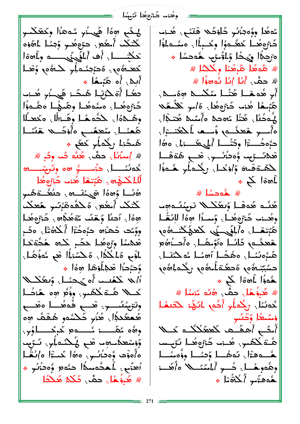وهُ: حَتَرُوهُا تَرْبِسُا

لَمِنَّهِ وَهُمْ فَهِيءٌ شَوْعَهُۥ وَكَفَكْسِرٍ كْتَكْتْ أُنْقُوم. دَوْوَقْتُو وِّجْنَا لِمَاوَّوْهِ تَعَكَّبْكَ إِنَّ أَهْدَ أَمْلَغُيِّجُوبِ وَالْوَهَدَا كَعْدَةُهِ. هُجَرْمُتُمْلِر كَـ رُهُهر وُشَـا أبد. أه هُنما \* تَعُمَّا أَةَ كَرُبَّا هُمَكَّ: فَي زُو هُـ: جُرَّوهُــا. مِنْعِمُــا وهُبِهُــا وهُــوُا وهُـههُا. حجَّدهُـا وِهُـزالًا. دكعكُل هُمنُــا. مَعمَـــه ه أُوْحَـــه هَنَّــا هُمخُنا رِكُماُرٖ كَعَلَم \* ® إمبرَّئل. حقَّ. هُنُه كُبَّ وكُبُّ ® كُدْسُكْ إِ. جَنُكَ ٥٥ وتُوجِّكَ ٥ لَّالمُكْنَوْنَ مَكْتُنُّهُمْ هُذَا كُرَّوْهُمْ ا ھُنُّـا وَهُمَا ﴾ مَسْلَمِ اهْمِهِ الْمُعَامِدِ ﴾ ݣَتْكُتْ أَيْعُونْ هْكْفُوقْبْتُسْ هُعْكُتْ اي أَحِبًا وَحَمَّدٌ عَفْعُهُمْ وَجَزَوهُمْ الْمُؤْمَّدَةُ ووٌمُت شَعْنَرُه حَزْهِ حُتْزَا أَكْلَمُتْاً. وَضَرِ هْهُمْا وِرُوهُا حَضَّرِ كُلُّهِ هُثَّةَتْداً لْمُو مَلْكُلُّا. هَكْسُنْهُا هُو غُوْهُا. وُحَرِّحَةُ الْمَجْلَوْهَا وَوَاءُ \* ألمعه كَنْصَاءِ بِالْمَسْرِرِهِ أَصْلَاهُمْ مَعَهُمْ مَعَهُمْ مَعَهُمْ الْمَرْكَةِ مِنْ الْمَرْكَةِ كَمِلًا هُـتَمْكَمُسٍ. وِؤُمُّ وَهِ هَزَمُــا وتنبئس وبشب فُمعُسًا مقْب هُععَدَلَا). هُنُر كَكْسُو هُقْڤُ وهِ وِقُو كَمُـــــز مُـــــوم كَبِكَـــــاوُبِ. ۇۋشتىكەلىتوت شىم كىگىنەگەر. ئىكى ٥أُ٥وْت وُ٥تُوُنُــُـوِ. ٥%ا كُمــُرَّا ٥إِنُـُّــا أَهْبَٰى ۚ أَلْعَدُّوسَكُلَّ دَيُّومٍ ۚ وُودَٰٓ رَبُّوا ۚ \* *®* هُرِزُهُا. حقّ كَكُمْ هَكْذًا

عُهِمًا وِوُهِ دَٰنُو خَلْوَجُدْ قَتَبُ . هُـزب كَرْرُوهُما كَعْدُورُا وكُمِراًا. ومنُهادُرُا هِ رَجِمًا وَلَكُمْ وَلَأَمَرَ هُوصُلًا \* ه هُوهُا هُرِهُمُا وِكُكُمُا هِ **& حقٌّ. أَنَّا إِنَّا ثُووواْ &** أبر هُدهما هُتُما مُكْمِد 70 مِنْد هَّزُمُّا هُـْفَ خَرَّوهُا. هَامِر تَكْتَمُلا لِمُوصُلُا. هَٰتُل مُوحِهِ وأَمِّمَهُ هَٰتِــٰٓءَالِ. هأسو هْعِنْسِهِ وُسِعْهِ لَمَحْقَسْتِهِ ۖ. دَوْدَ أَوْ يَسْمَلُ أَيْلِ هَذَا . وَدُوا هْلاَنْـــوْمِــ، وْدَدُنُــــو. هْــــع هُـٰقَاقَـــا لْكَفَّـتَەڤىئە وَّارْكُــا. رِيْــٰمَلُر ـمُــٰمَرُّا  $\cdot$   $\leq$   $\int$   $\delta$  or  $\hat{L}$ 2 Lisan 2 هُنُـه هُدفَـا وُبعُنْـــلا نْرِجْنُــدوب وهُدن جُرْوَهُما. وُسِيرًا هِوَا لِلِنُغُما مْ تَقْسَا. هُ بِإِنِّي بِكَعِدَهُكَ وَهُ مِنْ هَعدُه دَاسُا هَوَّىعُما. ه/ُدَّوْهُم هُنُوسُا. وهُحُـا أوْسُا مُهَكْسًا. رەۋەلمصى رەۋسلىقىھە رەۋستېنى  $\rightarrow$   $\frac{1}{2}$   $\frac{1}{2}$   $\frac{1}{2}$   $\frac{1}{2}$   $\frac{1}{2}$ & هُوزُهُا. حقَّ. هُنَّه مُنسًا & خُوبُنَا. رِجُوءُرِ أَخُوبِ الرَّهُ: حَصْ**مُ**ا |فِسَّعُلَ وِّتَسُّرِ<br>|أَمَّے أَهفَــما لَاهفَـُـُـُّــه لَمـــالا ھُــٰۃ كُـٰھَــٰبِ. هُــٰٓنِـ كَـٰٓرُوهُــا نَـُوَـِــِــٰت هُــودْرَا. يُوهُـــا وُحِبُــا وِوْومُـــا وهُدوهُــا. دُـــو ألمِنْمَنْــلاً دأَهُـــ; هُهِ فَتَوْمِ أَكْتَةُ مَا يَهِ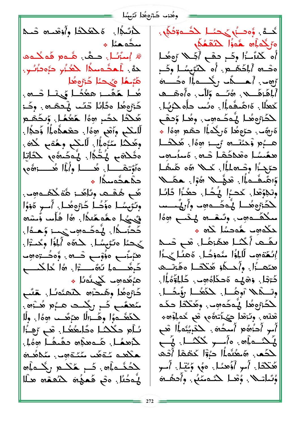وهُذم حُبْرُوهُا تَرْبِهُا

َكْلاَنُـٰٰٓهَا). هُ كَعَكْتُـا وِأَوْتَعَــْ هَــْكُـا مىدۇھىغا ھ *۾ إمرائيل حي*ت هُءم فُوحُده حةً . لَمَحْــوسِمَّا كَعُــَٰزِ دَرُودَٰزُــٰزِ . هَزَمهُمْ وَيَحْمَلُ جَوْءِهُمْ الْمَسْتَمْرِ هُـا هَقَــ; هَعْدًا وَٰلِكُمْ مَسْتَمَرٍّ كَرْوَهُا وَكَالًا تَئِب لْمَعْقَدِهِ . وَكُـز هَٰلاٰمًا حَضَرِ وَهُۥ هَٰهُمًا. وَٰتَحَٰهُـم لَّاسْكُمِ وِآهَمِ رَوِهُ . حَقَّمَهُوماً أَوْحَدًا . وِهَٰكُمَا مَنُوۡمَاٗا ۚ. لَاسْكِع وِهُوۡم كُنُو ۚ. ەڭلاۋىم لْمُتَكْمَلْ. لْمُمَكْسَوْهِ، لَكْمَاتِلْ دَاؤَتِيْفَـــــــا, هُـــــــا وِأَيْلَا هُــــــــزْهُ٢ دْرُهدُه مدار \* هُم هُڡٛۤڡ وٖٮٞٳهُد; هُٰڎێؙۿڡ؈ؚ. وِتَوَّمِنُنَا وَوَّجًا خَرَوْهِ هُنَا. أَسْرِ وَوَوُّا فَيْحِيُهَا دَهَّدَهَا أَنَّ الْأَمَّا فَلَمْتَ وَّسْتَدَهَ اصْعَةٍ مِنْ مِجْمَعَةٍ وَالْمَسْتَمَرِّينَ مِنْ الْمَسْتَمَرَّةِ. يْ هِمَا وَتَوْمِسُا. كَمَةُو أَبْلَوْا وِكْمِتْزَا. مکیْنُے ہوُوْے شَدہ وُہ کُے میں ا كَبِعْــــه لِم نَهُ ــــــــٓ;ا فَ الْمَالَكَــــــم ه الْأَهْلِيكْ مەمەم دُرْوِهُا وِهُبِدْرُهِ لِلْتَعِنُوبُا. هَنُبِ مَعمَى ضَرِ رِكْسَتَ عَبُرَ هُنْزَهَ. لْمَكْشُدَوُا وِصَّـٰ;الَّا مِبْهُــب هِءُا. وِلَّا ىُـأَمْ حَكْـُـدًا مَخَلِّـمُعُمَّـا. مْـع رَفِّ-أَا لأهما. هُــوهوه تصَفُّـا ووها. هَكُعْدَهُ شَةَهُدَ مُتَشَوَّوتَ. مَكَاهُدَة لِكُنُّے، أَنْ مَكْلُّ مِنْكُمْ مِنْكُمْ وَلَمْ مِنْ لِلْـهِ دُمَّلْ. ودْعٍ هَـهِـهُ هَـ هَـلَكَـهُـهِ هَـلَّا

كُمُّ . وُوصنُو حُجِمَا لِحَصُّومَ وَحُكِّوبٍ. وَبِّدْءُا هُوزًا لِمَنْقَمُكُمْ } أَه كَلَّاسُنًا وِكَّ دَهْـعِ أَكْــلا وُهْــا ەتــە ٱلمَكْــم. أە ـكْنُوسُــا وصَّــ كَرْدِهِ - إِنْكُمْتُ مِنْكُمْ وَجُمْعَةً وَالْمُسْتَدَوْدَ أَبِلْفَرْفَـــــلا. 50َــــد وُلِلَّــــ. 5أَوْهَـــد كَعْلًا. ەَرْهُمْڤُوءًّا. ونُم حاْوِجْبًا. للظَرَّوهُما هُءكَدوب. وهُما وَحقَّع هُ رَبُّفٍ. حرِّهِهُا هُ رِيْكُمْ} حصَّم بِهِهُ ﴾ هـــرُم وْحَنْنَـــه رُبِّـــز هِهُ . هَٰــٰكَـــا ھىمُسُل ەقىدىگىل ئەھ . ەسلامەت دَكِيدًا وحْسَالِمَا. كَمِلاً هُو هَيْشَا وَاهُبِفُسْمِلًا فِي تَحْفُرِيكَ وَوَالِ بِمَصَّلِكَ وِلْكِوَّهْا. كَحَرَّا لِّكُلْ. حَعْدُا دَّاسًا للطَّرُّوهُما ليُوصُّدوب وأُريُّمست مىڭگەھەب وئىقىدە كىڭىم ھەر مكّدوم هُدمسُل كله \* ىفّى أَكْسًا ھھَ;ھُـا. ھَـ تَـــه إِنُعَةِهِما لَّالِمُوْا مِنْمُوَهُا. هُهَنَّا حَيْدًا هنعيًّا. وأُحِيُّهُو هُكْمُوا هؤرْسُها كَتِبْدا. وْݣُلْمْ هْجْكْلْمُرْمِفْ. خْلْلْوّْقُدّْا. وتَــدْ لا ٱوهُــا. كَكَعُــا رَؤْمُــا. للْكُرْوَهُمْ لِمُعَدِّدِهِ وَمُتَلَّمَ حَكْمَ هْلُهِ . وِلَهْمَا حَيْلُتْهُمْ هُمْ ثُمْهِ أَوْهِ \* أُمرِ أَحَرُّهُمْ أَمحُوهُ . كَذَبِيُّه أَا هُم ىگىشسەلمە. ەأسىر ئىگئىل. ئى لحَكْفٍ. وَمَعْنُومًا حَبْوَا كَتَفَوْا أَدْنَى هَٰٓنَكُمۡلَ ۚ أُمِن أَوۡهَـُـٰلَ ۚ هُوۡ وَّسۡنَلَ أُمِنِ وُتُىلِسْمًا . وُقْعَا لِكُسْمَتُمْ. وأُحِقُّة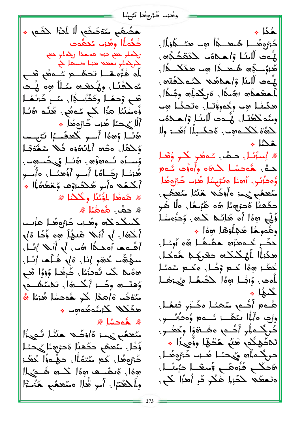وهُذب كَتَرْهِهُا لَّهُمِمَا

مَصَّمَ مَتَوَحَدَهُ لَا الْحَرَا الْحَسَى \* كُثْمَاْ وِهُنِ مُحْقُوف يعه بدلمكن المعمد منه بعه بدمكن للمحمار بمعلة هزار ويسعارهم لمُه فُتُوهَـا تصفَــم صَــومُم شَـح ئەلمەئىل. وڭىھىھ مىلاً ھە ئىت هْــِ وْحِمُــا وِكَكُنْـــكْما. مَـْــو كَـٰهُــا ؤْەمْنُنْا ھزَا كُم عُەھُم. هَنَّە ھُنَا أَلَّا يُحِمَّا هُذِ حَزَّوْهِ هُمْ \* هُنَّا وَهِهُا أَسر كَعفَّسْ الرَّئِيس وُحْڪُل. هِ تُمْ اُلْمَتَهُوْهِ ۖ ثُلا سُعَّتْهَـٰ ا ۇممەر ئىمەۋە . «ئاسلام ئىممەر». هُذبُــا رَجُــاهُ با أَمْـــو أَؤْهنُــا . ٥أُــــو أَكْتَمَكَ 6ْأَسِ هَكْشَاؤْهَا وُعْقَدْهُ} ﴾ ه هُوهُا لمُؤْسُلُ وكُلْهُ *ه* ه حقّ هُوهُ*نَّا ۾* كْسِكُمْكُلُه وهُـزب خُرَّوهُـا هزُنـب أَحْدَىٰٓا. أَبِي أَآيَدَ هَبَهُٰٓا مِهِ وَجُدَا وَلِي أَهْـه ما أهدهُا هُـــ. أَبِي أَآمِلا إِنْــاً. مَدَوْهُمَا خُدْوَهِ إِمَا. ۞لا قُـأَهَا إِنَـٰا. ههُم گُد تُودُمُّا. خُرِهُما وَوَوُا هُم وُهِنْسِهِ وِحَسَنَ أَيْحُسْهَا. تَمْسَعُفُسُمْ مَّةَكُ 16هـْدَا كُلِّ هُـُدَسُّا هُـْمَنَّا وُ مكَّلْلا كَتْتِمُّەمُدەم \* 2 Lisca 2 انْرِصْاً الْمُلْعَمَّةَ مَكَّاةً مَسْ تَسْتَعْمَدَ ؤُدًا. سُعڤع حَفَّصُلُّ هُحرَهِ مُل حَمَّل حُرْرُهِ هُا. كُم مِّتْمُلًا. حقُّوزًا كُعَّةِ الرُصةُ مِكَّ اهْمِ صَمْداً وَ وِلَمِحْتَبَا. أَسِ تُعالِ مَمْعِمًى هَٰٓئِتْوَا

ـمُحُل چ دَرْوَهُما هُبِعِمْلاً وما همْكِلُولاً. يُّەد لَّاسُّا وْاھْلاەْد كْتْقْدُلْوْھ. هُزوَّـــدِّهِ هُـعــدًا وب هكَكَــدًا. لِمُءِد لَّامِنًا وْاحِلاَهُد لِكُنْدِهِ دِفْتُهِ . لْمَعْمَدُهِ اهْلُدًا. هُرِيَكُمْلُو وِجُلُدًا. هدًىنُـا وما وجُدووُّتْـا. وتَحجُّـا وما ومنَّه خَعْنَـا . إنَّــه د لَّامـُـا وْالعــحمَّد لِحَدَّة كُكْمُومِ . هُجِمَّة أَمَّا أَهَدَ وَلَم معكاء & إِمْتُهُـْلَ. حَتَّفَ. صُوهُدِ كُمْدٍ وُقْعًا حدًّا. هُوَجِسًا كَلَّهُو وِأُوْوَّفَ شُومٍ وُّەدْنُر. آھىل ەڭگىسُل ھُن خَبَرُوھُل مَعفَّم بَهْنَ مَكْمَةٍ مِنْ مَكْمَةٍ مِنْ مِنْ مِنْ حكَّهْنَا ەُحْرَى اللَّهُ هُبُعُمَا. وَلَا هُو وَّلْيَ وَوَٰٓا أَو هَٰائِكُمْ كُلُّهُ . وَحَزَّومُنَا وهُدوهُا هُدْلُوْهَا وَوَٰا ﴾ حكَمٍ تُدهشَرَه حصَّفُا هُوَ أَوِسُاً. هذَا الْمُكْتَدُه حقْرَبُكِ هُومُدا. كَعَفَ; هِوَٰا كَمَعْ وَصَلَّىٰ مَكْمَعْ مَتَّوَسًا لْمَعَا. وَٰلِكُمْ الْأَصِهَا لَكُمْ الْمُحَمَّلُ الْمَحْمَدِينَ گىچُا ÷ هُــه (إُشَــه مُعْمُــا هكَــْبَر تَعفُــا. ورُد هُ اُلَمُ السَّكَّلِ: شَـــدم وَّددُنُــــــر. كُرِيْكُمْلُو أُكْسَى هِ هُــقَوْا وِكَعْــوِ. تَمْكَنْهَمْ مْنْعَ هُدَهْا وِوْْيِهِ أَ حريك عالَم ويُحمُل هُـزم كَزَوْهُـل. هُحكَمٍ فُنُوهُمٍ وَّسِعْداٍ حَبْسُاً. ەتىمكَىد كْخَزِا مُكْرِ مَّ أُهْزًا كَبِ.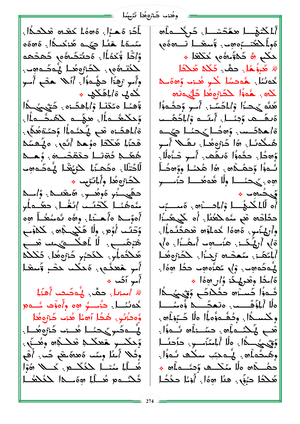وهُنم حُزْوهُا لَهُمْا

لَمَٰٓ وَحَمَّلَ وَهُمَا يَحْقُوه مَكْحَدًا. مەھەت ئاشىنىغا ھۆك لىقىگا. وَۗٛاتْنَا وُّكَفَظًا. هَحَنَّنَكُمْهُمِ ۖ كَعَضْعَم لْمُتْلَوْهِ مِنْ لَكُوْوَهُمَا لَمُوكَسُومٍ. وأمر رْهِزًا حَهْدَوًا. أَأَيْلًا حَتَّى أُمِير گەپ ۋابلۇڭگە \* وَّهْمَا مَخْتَلَ وْالْمُعَذَّهِ. كُرَّسُكُمَّا وَحكْمَعُــمال هنيَــم حكمَـدَّــمال. ة/اهضّزه شَم يُحْشَماًا وَحِمّتْمَعْكَلِ. هْدَٰٓءٖۢ هَٰٮٚۮٓڡٗٳ هوُ؎٨ ٱنَّهٖ و وَيُحسَّلا ھُھٗٚ؋ دُةڷؠٳ حِنْقَضْتِهٖ . وُجِبُ لَّاكَتْلَا. وَحَمَـٰٓءَلِمْ حَرْبُغْنَا ۖ فَيَوَحَدُوهِ بِ للْحُرْوِهُمْ وأُبْلَوُّبِ \* دَفَّى أَبِر هُوِهُــــرِ. ﴿ مَعْنَـــدٌ. وُٱـــدُ مْدَهْنُــا كْتّْسُــا إِنْشَــا. حَمَّــدَاُر أَهْوَمِكُمْ وَأَحْسَنْهَا. وَهُوَ يُوْمِعُكُمْ وَهِ وَّدَيْبٍ أَوُمٍ. وِلَا هُكَيْءٌ۞. كَكَاوْب هَتْبَعَّبِ ﴾ [السَّمَّى الله عليه من مستق هُلِدُه اُبِ. لِلنَّحْرُبِ خَرَّوهُا. كَتْلَكُمْ أَس هَعنُدٍ. هَنكَت بحصْرِ وَسَعْل اُسو اُکُ \* « أمزار حقّ فُوصُص أَفَذَا كُدْسُلْ. جَنُـــزُ وَهِ وِأَوْوَى شَــدم وُّەدْتُبْ. ھُڪُل آھنُل ھُنِڀ ڪُرُوھُل لمُ وَجَبَّى حَسَلِ هُـــزَى حَزَّوْهِ هُـــلَ وَبْكَسْــــو هْعَكْـــهِ تْعَـلْـــأوْه وِئْعَــنَى. وِثُلا أَسْلَا وِسِّمَى هَ هَدْهَ هُمْ تُحَبَّ أُتْمِ ھُلُّہ مُتَمَّلُ حَكُكُمُ مِنْ كُمَحَةً وَّوَّا ثَكْسُـوم مُسْـأَلِمْ مِوَّسْـهِ لِلْكُحْمَـٰ

أَلمَكْنُوْـا همْتّْسْـا. كْرِجْــەلْھ كْوِلْمَحْتَتْ بِمِهِ فِي وَالْمَحْسَنَ لَهُ مَعْوَى الْمَدْرَةِ مكْمٍ ۞ حُلَقُمهُم مُنْكَفَا ﴾ *®* هُرِؤُهُا. حقّ كَكُمْ هَٰكُمُا كُوبُنَا. هُوجِسًا لَحْسٍ هُـزَبٍ وُ3ْمَحْكَمَ لَّكُلُّهُ بِالْمُقَوَّٰهُ لَكُوْرُوهُا كُلُّكُونَهُ هَٰنُه يُحِبُّ أَوْ الْمُمَّـٰ: أَسو وَحَشُّهُ أَ هُدِهَ ۖ هِ وَجِمْ ۖ إِنَّ أَمِنُ ۖ وَٱلْمَحْمَـٰتِ 6/هجرها المحرار من وسكهم ان ھُىگُدْئا. ھُا خَرَّوھُا. ىفَى أَمِر وُهجُل. حثَّموُّل هُنفُعب. أُسو شَزُّهلًا. ئَـدَوُّا وُحِكْـدُهِ . هُا هُـدْـا ووُهحُــاً وه کی منسل ولا هُدهُمسل حزَّمسو « Loré أَه لَالمُكْدُنُ لَوْلُمُلْتَوْنَ وَالْمُسْتَوْتِ حَدَّادُه هُم مُّه حَمَّنًا. أَه كَهِعَْدُا وْأَرَلْخُسِ. ݣَەدَا ݣُعْلَوْه شْعْفَقْعَلَّا. ةْلِي أَرْيَكْمْ: هِنْمِسِهِمْ أَمْكُنُوا وَلَى أَلْمَكْنَ مُعْصُدِهِ رَجِئًا كَلَّةَ رُوهُا يْحَكّْمِوبْ. وْ/ كْعَنّْوْهِبْ حَكًّا هِوْاً. ةامطًا وهولمكَ وُارِ هِهَا \* ثَـهزًا حُسـْتُ حثُكلاَحُم وَقِيْحِيُكِمَّا دْلَا أَبْلَؤُهَّـــبٍ. دَتَّعَمَّـــدَّ وَّدْمَــــدَ وِكْنْسَـكَالِ وِدُفُّـدَوْْهِ إِلَّا وَالْا خَــَمْوَلَمُونَ هُبِ لِكُسْمِلُهِ . حَمَّــزَلُهِ شَـمؤُل. وَقِيْ لِمَاءٍ وَلَا أَلْمِمْنُوبِ وَأَحِسُوا وِهَْمَدُّه أَنْهَ مِنْهُمْ مِنْكُفَ شُوزًا . حصَّــــهُ ملَّا حَكْـــْـــه وُحسَّـــملَّاه \* هَٰلِكُل حَزْوٌ . هِلُل هِهُ لِ أَوْعُل حِكْحُل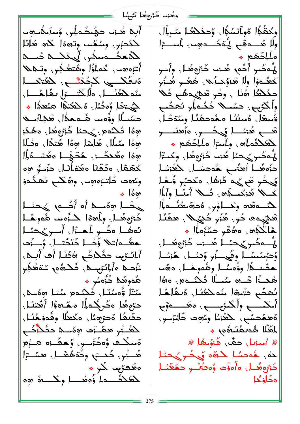وهُذب خَبْرُوهُا تَرْبِهُا

أَبِكَ هُدَمَا حَجَّمَةً عِلَّهِ. وَمِعْلَمِكُمِينَ لْمُكْتَبِّرٍ. وِسُمَّى وِتْ16 \$10 هُائا لمَسْمَدْ مَسْكَمْرٍ . بِمُسْمَدْ مَسْكَمْ أَنْتَزِهِ وَمَاءُ الْمُؤْلَمِ وَهُتَعُكُمُو وَقِيمَهَا الْمَرْجَعَةِ وَسَمْلِكَمْ ەسكىكى كېڭگە بالكەتتىلىم مُدَكْفُلُهِ وَلَا كُتُبْ وَلِ بِفَاحُصًا . لِّيْ زَحْلِ وُءِئْنِلٍ. هُ لِمَعْنَٰهِۚ! هِنُعِدًا! \* حمّمـلُّا وؤُهمه هُــهِـهٰدًا. هَٰذِلمَّانُــــــلا هِهُا شَكْتُومِ. ﴾ حمَّا خَرَّوهُا. وهُكَّرَ هِوَا مَمْلًا. هَامْدا هِوَا هُتِمَّا. وَحُلَّا 14 مَعْدَكَــز. هَدَهْــا مَعْتَــهُ بِهِ كْتْݣُمْا. ەكْفْلْا ەھْتْمْلَالا. دَّنْبُرْ ھِە وِمُهِ دَ دَاتَـرُهُ مِن وَ وَهُ كُلَّــمٍ لَــمَـدُونِ  $\cdot$  100 لمشمرق بصدأ أكمسف لمشر كَرْرُوهُــا. وِـٱرْهَا كِــُرُومِـد هُـومُــا لَههُـا هضُـو لْمَــْزَا. أُسـوِيْحِـنْـا هعْدُه/شلا وَّحُــا حُتحَّتَــا. وَّـــزَد ، الرِّبِ حثَكرتُ ، هُكْنَا أُهِ أَبِيهِ) تُأحــه ه ُ بِلرِّجِيــه . شُــْـرةُهر حّـةهُدُبر هُەوهُدا خُزُّەمُر \* مَثْلاً وُّومُمْلَل. فُكْسُوم مُسْلِ وِوَّمْكُ. حرِّهِ هُل محَرِجٌدهِ ألم مصَّدة أَلَمُتَسَلَّد حكُىعًا ەُحرْبْمَا. مكْتْمَا وِقْدَوْحُبُا. لمَعْــزُبِ مَكَــْزَت وَهَـــدْ حَثَـدَّلَّكَــمِ ەَسكىك ۋەكتَرب بِمَكَّدَه ھائِع هُـــُر. كَـــْ وِحُتّفهُــا. مننـــْ ا ەئدىمىس ئىر ھ لمعَلَّفُ على فَوعُد لِم وَكَسَدَةُ ووهِ

وكْتُكُوا هُوبْاتْسُكُوا . وُحكْكْحُا مَنْجِلًا . وَلَا هُـــوهَــهِ بُـُقَكَـــوهِــ لِمَــــثَ ا ەلملككە \* لُهضَر أُهُم هُـ: خَرَّوهُـا. وِأَسر كَعْدَوُا وِلَا قَدْوُحِـزَىٰ. هُعُبِ مُحَبُّو حِذُكْمًا هُنَا . وِحُرِ شَكِّيءهُم ثَلا وأَكْرُبٍ . حسَّىلا كُنُّـه أَبر نُعصُبِ وَّسفَا. هُسْلُلْ مِعْدَدِمُلْلِ وِسِّدَدَلَ. قب هُنسًا في حُسو. هأهنُسو لِمَكْلَدُهُ أَنْ وَأَسْرًا وَأَلِمَٰكُمْ \* لْمُحَسِنٍ حَمَلَ هُنِ خَرْوِهُا . وِكَسْرَا دَوْهُما أهنُّب هُودسُما. لِهُزَسُا فَيْحُرِ شَيْءَ حَزْهُا. مَكْحَبُرٍ وََّسَمَّا كَمِيلًا هُوَمُدِيْهِ وَ. ثَمِيلًا أَمِنُهَا وَأَلَمُلُ لأَحْسَدْهُدِ وَتَحْسَلُوبُ وَحَدَّهُ مِعْنُسُدِياً هَدْيٌ وَهُ دُسٍ وَمُنْهَرٍ وَحَدَيْهِ لَا . هَدَيْمَا لَهُ مَعْ الْمَسْرَ هَالْكُلُونُ وَدُونُو حَمَّرُومُ! \* لمُستَحَسِنٍ حَسَنًا هُستِ خَرَّوهُما. وَحَبَّسُسُلُ وِفِّي أَو وَحِسْلَ. هَٰٓزَسُلُ هدَّىكُمْ وَوْدَسُكُمْ وِهُدُوهُــا. دَهُب هُدُ أُ دَــهِ مَمْــلًا ثَكْــوم. وهُا ىُھجُم حَبُّدةَ ضُمَحْعُ*نُ*ا. ەَىغَل**م**ُا أىكىب وأكْتَنِ ج. ەكىسەۋىم ەُھەَدىسَى. خَعْزْءُ وَءُود دَّانْتُرْسِر. لْمَمَّالِ هُءِيمَاهُ مِهِ ﴾ & امزار حقّ فَرَوْمَعُا & لنعرض مؤهك لنمعف بقد كَرَّوْهِ هُــا ِ. ه/ُهوْد وُّهْدُتُــو حَقَقَتُــا ەڭاۈڭل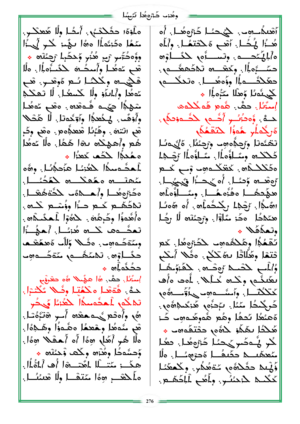وهُنم حُبْرُهِهُا لَهُمْا

هلُوْهَ، حثَّكِتَبُ. أَحتُـا وِلًا هَعتَكـو. مَّـمُّا هَدَّتَـمَاْا هَا لَيْمَة كُـرٍ لِّي ُّا ووَّەڪتُب رَّي هُنُر وَحصَّلِ رَحِيْلَه ﴾ هْمِ عُوهُما وِأَسطُـرَه كَكَــزُولَما والْ قحيى وكمثاله ع وقب. قب حْمَعُلِ وِٱلْمَلَوْ وِلَا ۖ كَسِعُلٍ. لَا تَعِنْكُمْ سْهِجُا كِي هُ هُ هُ هُ وَ مَعْ مَهْمَا وِٱوْقَى ۚ. لِيَحُعَجُ ۖ وَٱوْتُدَنَا ۚ. لَا ۚ هَٰتَـٰلا هُم النَّـهَ . وِكَّبُنُا هُعِدْءُهِ . هَمْ وَكَرِ هُم وأهمِكُله بدْا هُمُل. ولَا عُوهُا معُدِمُ الحَكْمِ لَحَدُ \* لْمَحْـومِيكُا لِكَعُبْـُا هِزَجَكُلْ. وِرَةُه مَنْعَفَــــرَهُ هَدَيْــــرَهُ لَهُدُنُـــاً. ەكزۇەھُـــا وأحـــــــاەُب ــكثّـة ھُعْـــا . تكظّم كبع دخُل ووُسْبع كلهي. هِ/ُهُدوُّا وحُرِجُرُهُ . كَرُّوْا لِمُعَكَّدِهِ . تعثَّـــوما تَكْـــرە هُزئـــا. أحمدُ وَمَّدَدَّدِهِ وَالْكُمْ وَالْمَدْ هُ مَعْقَدَ مَدَّ حكَماوْهِ وَالْمُتَعَمَّدَ مِنْقَصَّدَهِ း ရှှင်လိုင် إِسْتُلْل حقٌّ. وه العهُّملا وه حقوقَ إ حـة . فَقْعْـل مْكْفَيْـل وضُـلا عُكْتـْمِل ـ تَمَكُّم أَحْشُوساً لِكَمُّنَا فَكُمَّةٍ ، وأُوتُمْ يُدْهَدُه أُسْرِ ، وَتَبَوَّدُ. هْمِ مُدَهُدا وِحْعَمُا دَهُدَوُّا وِهَٰـٰكِلُّا. وَلَا هُو أَهْلِ هِوَٰا أَو أَهفَلا هِوَا. وُحِشُوطُ وِهُنْزَهِ وِكُلِّفٍ وَحَمْلَهِ \* هكَّــز مّتنـــْلا لمعّتــــوْا أُهـِ ٱلمَّذَٰلِ!. مأكفَبِ وِهُ! مُتَفَّـا ولًا مْننْسًا.

أَهْلِكُلْمِينِ فَيَ حَسَلَ جَرَّوِهِ مَا فَيَ أَو هُـزُا هُـحُـلَ. أهْبِ هَـكِتْتُمُـلَ. وِٱلْمَه هألم يُمْحَسِبُ وِتَسَبَّقُوا لِلْمُسَلَّوَاةِ حمَّــــزُّه إِلَا . وِكَعْــــــره لَــدْهَعْــــــه . حفَكثُــــولَما ووُّوهُـــــــــا. وتَــكُـــــم لَكَيْحَةُ الْمَوْمَ الْمَشْرِكَمْ إِسْتُمَا وَحَدًّا وَ مُومٍ فَو كُلْهُ مِنْ حَدٍّ . ۭ وُودُنُــِ ۖ أَحْسَمِ ۖ حَفَّـوْمَكَم ِ. ەرگەلمر ھُەؤا كەقھگى لَنْعَثُولَا وِرُجِدُوهِ وِرْجِئْنَا. هَايُجِئْنَا كَحْكُدُه وِمُسَاؤُهِ أَلِ. مُسَاؤُهِ أَلِي جَهْدَا ەڭكلىگەن. ئىقكىمەر قوب ئىسىم بالم يُعرف الْمُسْكَرِهِ أَنْ مَسْتَوَالَ فَيُحِيْدِ مِنْ الْمَجْمَعِينَ مِنْ مَسْتَوْمٍ مِنْ مَسْتَ ههُحصًا هفُنُهمُا. وِمُاؤُه أَه اهُ جُلْ } رَجْعِلَ إِجْمَعْتُمِيْلُهِ . أَهْ هَٰ مَنْ ا هنده أحدًا مَثَلَوْلَ. ورْجِئْتُهِ لَا رَجَّا وتعدَّفَلا \* تَقْمُمُّا وِهَٰكِمُّەرِمَا كَخَبِّوَهُا. كُمْ تَتَمَّا وِمَكَّاتًا بِهَ تَكْلُى. وَثَلا أَيْكُم وُٱلۡلَـــم كَــْــــم وُهِــَــهِ . كَـفَـٰزَمِـعُــا ىكْنىڭ وېڭىزە ئىلىلا . ماۋە ە/ف كَكْكْتْسَا، وأمنْسَسەدەپ بِلأُوُّبْسَدەُ ب ضَرِيْدَهُا سَمَاْ. سَرْحِنُومِ هَٰذِيْدِهِ۞وَمِ. ەْھىُعُا ئىھا وِھُم ھُەوھُـەھِـ كَـ; هُكْدًا بِمُكْفٍ كَشُورٍ حَدْتَفُوهِ \* لَّكُمْ لَمُسْكَرِينَ مِنْكُمْ الْمُؤْوِهَٰدَا. تَعْمَلْ مُعهَّى هَ حَمَّىفُ أَحْرَوهُ لَ وَلَّا ؤَيْلِهِ حَثَلاَةُٯٖ ۖ عَةِهُلُهِ ۚ وِكَعِفَكُۥ كَكْنَكُمْ لِلْمُدْسُورِ. وِلْمُحَبِ لْمَاحَكَنْكُمْ وَ.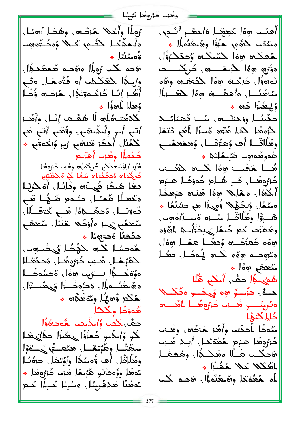وهُنم حُزْهِهُا لَهُمْا رِّهِ أَإِ وَأَبْتَكَ هَٰذِكُ، وِهُكُمْ أَهْلًا . أُهنَّب وهُ لَمُعِقِّلُ هُ/جَعَّبِ أَنَّـمٍ. هُ هَكَمُدًا لِمَشْمٍ مُحِلًا وُوصُنُووو همَّدَّم حَلَقُومٍ حَزَّوْا وِرَهُمَعُنُواْ ﴾ ۋەمئىندا پ هُڪِده هِهُا لِمَسْكُدهِ وُحِكْكُرُوُّا. هَجم لَكُب رُودًا وهَجم هُجعَكَدَدًا. ەزو بوە كېشىدە . كېڭىسىد ورُبِّهَا كَعْكَـٰهِـ أَه فُتُوهَـٰلَ. وقَـٰع ئەھۆل كىڭگە ھۇا لگۇھى وھە اُهَٰذ إِنَّـا كُلِّـُـدوْنُكُما . هُرْشُــرُه وَّكُــا مُنْهُنُــا. ه/ُعمُــة هِهُا كَعْــنِلَا  $\bullet$   $\bullet$   $\bullet$   $\bullet$   $\bullet$   $\bullet$   $\bullet$   $\bullet$ |وُلِمِعْدُوا دُه ﴾ .<br>كَلاهُتــهُلْه لُّا هُـڤــعــ إنـُــل. وٍأَهُـــز حكْسًا ووْحِنْسْدِ . مئة خَعِنْائَكُ آت آٌمر وآُسکُمڤن. ووُّڤم آتن ڤُع لِمَوْهُمَا لِمَشَاء هُنْزَو وَسَدًا لَمُعَ قَتَمَا ِيْكُمُلُا. أَحدَّ: شَد*ەْ*م <sub>ُ</sub>رْمِ وَاجْدَوُّم \* وِهَٰلَاتْـَـا /ُڡ وِّهِۃُقْـَـا. وِّهمُعمَّـــمِ كُثْمَلَا وِهُنِ أَكْنُوم هُەوهُدەبەب ھُہُمْلُمُدْ ﴾ هُنَّهِ ٱلمُفَعَّمَدُكُم ضَرِكُداْه وهُنت خَرَّوهُا<br>ضَرِكُداْه وَحِضُداْه مُعْا كُم وَكَكَتَبَهِ هُــا هَقَـــ; وهُ الْمَــــه لِهُــــزم كَرَّوهُـا. كُــر هُــام كُـودُـا هــرُم دهُا هِمحَة فَي آه وِݣَاسًا. أَة حَوْيَا أَخْذَا. مقللًا هِدًا شَنْه حَبْعَخًا ەڭھىلا ھُمىل. جىھە ھَىھُلا ھَب مَمْعًا. وَبِحُهْلا وْهِدَا هْمِ حَتَّنَعُا م ثُەوٓتــا. ەۡحھَـــدٖەُا ھَــــ كُتوۡـــُلا. هْبِرْوْا وِهَٰلَاتْکا مُنْدَى هُمْسَأَاهُ هِمْ. مَعْمَمَ إِنَّمَا مَأْوَدًا مِنْ مَعْمَلِ مَعْمَدِ وهُعْنَ كَمْ دَمُمْ رَبِّدُ أَمْدَ عَنَّهُ وَمِنْ عَنْهُمْ وَمِنْ حكَّفْلًا هُجْرُومُا \* وە ئىمائى ۋىھا ھقا وەل. هُومِسُا ݣُلُو لْكُلُومْ مِنْكُمْ لَمُومْهِ. هنّههـــه هِمَه كَـــه هُــَـــمْ. حَمّــا لِكْتُبُهُـلْ. هُـنِبِ خُرْوَهُـلْ. هُحكْفَـلْل  $\sim$   $\frac{1}{2}$ ەۆەكسىدا سىرىپ بوۋا . كېشەكسا اللهُ مِنْ، أَمْسِرُهُ هَا ەھَىعْكَسْمِهُ لِمُسْتَوْمِعْدَ زَالْ مَى هَمْسْتْزَا . هــةُ. حَزْسَةٌ وَهِ فَيحْسِرٍ هَكْلًا كَمْكُمْ وْ3ْمَلْمْ وِكْتَةْهُدْ \$ ەئىئىسىر ھُسنە خَبَرُوھُسا لمھُسىم هُدوْحُل وِكْلِمَا حقّْ كلف وُٱلكَّنف هُوَدَةُوُّا مَدَدُل لَمَحَمَّد وأَهُ: هُزْدَه ِ. وِهُـزْب لْكُرِ وَٱلظَّمِرِ حَمْنُوْ إِيْهُمْ حَمْلَا وَالْمَرَاثِيُّ كَرْرُوهُا هِـرُمْ هُعَّةَ دَا. أَبِــهِ هُــزب معَّشًا وهَّتِمْا. مِنْعَتْرِيُّ مِنَّفَرَةِ هُحكُــد هُــُلا هڤعكِدُ\. وهُـعمُــل وهَٰلَاتْل. أُڡ ۊ۫ۘٯٮُٮكُل وأوٌتهْل. حرهُ يُـل لمَعْلا مُلا مُفَشَرا . عُوهُا وِوُودُنُو هَبُعُمْا هُنِ دَرْوِهُا \* ـلُه ـهُعْتَهْدَا وِهَـعُنُمَهُا فَصَد لَمْــد لَمَــد عْمَعُمُّا مْحَافَرِبْمَا. مِنْبِئًا كَبِيَاًا كَبِعْر

كللكنثل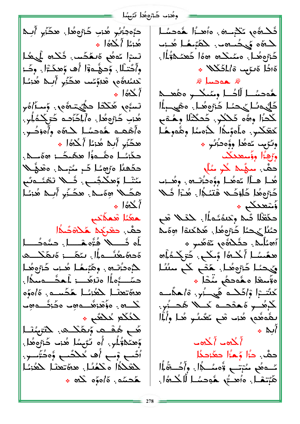وهُنم حُبْرُوهُا تَرْبِهُا

حَبُّودُنُهِ هُنسِ حُرِّوهُا. هكَّمْ أُسِط هُذِيُلُ أَيْحُدُهُ لَ \* لَعْمِدًا مَكَّفُ مَسْكَفَّ مَعْ الْمَحْمَدِينَ مِنْ وِٱحۡتَـٰلًا . وَحِمّْ وَوْا أَف وَهكَـٰٓةٍۢا . وحُــٰٓ; لْكَنْتَلَاةُى هُدَوِّضْتَ هَجَّنَّى أَبِيهِ هُدَ*نْ*تَا  $\cdot$   $\delta\chi'$ تَسْبَى هَكُكُمْ حَكَّى تَسْتَوَى وَمِسْأَلْهُم هُدَبِ حُرْوَهُا. هِ ٱلْمُحَرَّحِـهِ حُتِّهِكُـهُ لِم ِ. ە/ُھْھـە ھُەھسُـا كـ7ە و/ُەۈھُــو. هكُنُو أُبِهِ هُزِيْلِ أَيْحُرُهِ لَ حكْنِسًا وهُدوُّا مِمْمَحَد: «هَمْكُنْ). حَكَمْلَا هَرُومُـٰلَ كَـٰرِ مُتَرَسِـٰهَ. هَتَمِيُّـٰهَا ۖ مَتْـَـا وَهكُدُمَــعِ. ثَـــلا تَعْنُــونُـع هكَـــلا وهَــــم. هكَــنَبِ أَبِــم هُــْــُـل  $\cdot$   $\delta\chi$ معكئا شمكتب حقٍّ. حقْرِبُهِ هَذْهَ صُدُا ەَحەَمْعُنُـــەلَمْا. ىىڭـــز ەىڭىــــى كُرُودُتُكَ. وهُبُعُما هُـزب خُرُوهُـا هدە تعشا حدُنُها حَدَّسه بِه وَوَو لْكِسِرِهِ , وَوَّهْدَهُـــوهِ وَحَرَّقُـــوهِ لَ لمُكُم مُلْعُم \* هُــم هُـقَــم وُبمُثْــه. حَتَوْجُنْــا وَهمَدْاوُّلُر. أَه تَرَّبْسًا هُنِ حُرَّوْهِهُا. ٱئۡب وٖۡب ٱٖڡ ۡٮُلۡضَـہٖ وَٕۡہِڂُۥٞٚٮـــــر ؞ لمَعْلَمُ الْمَعْسُلِ. محمَّتها لَمَعْنِيل ـفحمّه و اهوّه لاه \*

ثَكِثُومٍ خَكْرَسِينَ وَأَهْدُرُا هُوصُبَا لِهُ مَيْ دُمِينٍ لِلْكُرُمُ لَمْ هُدَا دُرْوَهُــا. مَمّىـْـلــــه هوا دَهلـــاوُّـاًا. ەْلُ اەترىپ قالمڭكلا \* 2 Lusan 2 هُوصُلُ لَاحُلِ وِمُمكْسِرٍ وَهُعَلَـهُ الْمِرْهُهِ .لمُعْوَيْهُمْ لَمْعَرَضْ لَـٰهِ صَلْمَةٌ كْدُا وِهُو كَكْلُو. كُعَكْتْلَا وِهُـُوم كَقْكُمْرٍ. مَأْمَوِّيكُمْا ۖ كَنْمَمُا وِهُمُوهُـا ولُّکِّہا کَاهُا وِوُّہِتَالُو \* اورُجْزًا ووُسعدكك حڤ. سهٌك كُبر سُلَّه هُــا هــاًا عُمهُــا ووُمحنُنْــه . وهُــنِــ حُرْوِهُا حَاوْحُــد قْتَنْــهُ!. هُــْزَا شَــلا أؤشعدكم \* حكَفْلًا مُّمْ وِبْعَفْتُماً!. حْثَىلا شَع مَمْلًا حَيْرُوهُا . هَٰذَكُمْ مِنْ مَنْ مَنْ مِنْ الْمَحْرَ الْنُمْ أەمْلُك، حثْلاهُ) تەھُىر \* همَّسُا أَكْدُا وَكُل، حَرَكْجُاً وَيُحِمَّا خَرَّوهُمَا. هَتَم كُمْ مِشَا وَقَصِعْلَ مِعْقَصِكُمْ شَكْلَ ﴾ كَتُسْبَرْا وْاكْلُــه فَيْلُو. وْاحْدُــه كْبِعْبِ هُمْتَحِبَّةً كَبِيلًا هُجَنُّينٍ. لِمُعَقِّفٍ هُٰٓنِي قَبِي مُعْْبِشُو هَٰلِ وِٱٓءَٱل أبى \*  $\frac{1}{2}$   $\frac{1}{2}$ حقٍّ : حزًّا وَجِبًّا حَعَّزَحَكًا ئے مُع مُبْتٍ وُّہمُمُ اُلِّہِ وِأَهُمْ فَالِمَا هُبْتُهْلِ. ٥أهْــتُو هُوَدِسُـل لَّاحُدْهُلْ.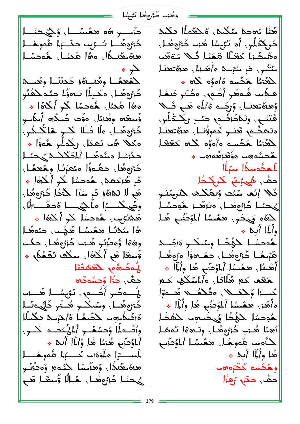وهُ: حَزَّوهُا تَرْبِمُا

دَّوْسِـــرِ رُهُو همْسُـــا. وِّكِيْحِيَــا دُرْوهُــا نُـــرُب حدٌــبُا هُومِــُــا هدەً حَكْماً. وهُ أصحبُ أَنْ هُوجِسُما  $\leftrightarrow$ للقعمُــا وهُنـــهُوْ حُدْنُــا وهُـــــــــمُ دَرْوهُـا. هگـېـاْ تــهؤا حنٌـه للفُلُو ەھْل ھُھْلَا. ھُەھسُل كُمْ أَكْلَاهُ ﴾ ؤُمعْدُه وِهُٰٓ;يُا فِوَّد كَمُنْهُ لَا أَمَامِنِ كَرَّوهُــا. هِلَّا كُــُلَّا كُـــرٍ هَاتُـُـــكُر. هَكُلا هُـ تَعَمَّلَ. رِيُّهلُو هُوَٰوَا \* حذئه منعشر ألمحف الشمن كَرْرُوهُا. حصَّوزًا ويُعبُّلُ وهَعمُا. صِّ هَٰـ(تَحمدَ). هُـوَصِبُل كُـرٍ أَكْثَوُا ﴾ هُم لًا ثَلاهُوْ کُرِ مُنْاً ۖ لِأَدُّا خُرُّوهُا. وكَهكْسُرًا هلَكَهُ لَ هَجفَ زَالًا . قْلِمْتَوْبِ. هُوصِمًا لَكُو أَكْتَوَا \* هْ سَلائا همَسْا هُيَّب. حمَّمُا وِهُهْا وُددُتُهِ هُـنِـ كَبْرُوهُـا. حكَّـ وَّسِعْلُ مْعِ أَكْلَهُ!. سِكْفٍ تَقْعُكُلِ \* لْےكْتۇە لاشقىنى ئا حقُّ. حزًّا وُحِشُوثُه كَرَّوهُــاً. ومَمْكُــو هُــزُو كَالَىٰهَـٰـا ەْتَىمْىوب خْشَعْا ەْخْبْطْ تْخْلَا وٱتَّــٰه أَا وۡحِسۡفُــٰر ٱلۡاٰیۡـُـُحــٰه ۖ كُــٰر ٖ. ٱلمَوْدَىٰ هُذِيْا هُا وُٱلْمَا أَلَىٰ \* لمُعسِبًا مِلْوَةَابٍ جُسِبًا هُومِهُــا ھەمھىدا. ۆھكىسا كىلەم ۋەدائى جْمَعًا جَرَّوهُما. هُاللَّا وَجَمَعًا هُم

هَتُا ءُ٥حِمْ مَكْدِمْ. هَ حَيْحَهُ! حَكْدِمَ كَعِيكَةُ لُمْ. أَه تَزْمِسُا هُنِ كَرْوَهُـا. وهَبِجَبَاءَ كَعَبْنَا قَمَيْنَا شَكَلَا عُقْفُ مَتَبُسٍ. ثَمِ مُبْسِدُ هُ/هُـ; }. هدهَ تعليل لمَعْنِئْلُ هَجَسَهِ هَاهُوَهِ لَكُلُهِ \* فَـكَمْتَ فَـْمَعُو أَكْتُمْ. وَكُنْوَ تَنْغُـلُ وَهِهَتَهْلًا. وَرَضَهِ 16 مَنْ فَكُلًّا هْتئے . وِتكفَّرْشُـــــم حَــّـــز رِكْـــةُلُمْر . ەتھىھُم ھَىُــو گەوۋُتــا. ھەقتھتىل لمَعْنِئا مَّكَسِهِ هِ/ُوَوِّهِ كَلَّهِ كَقَفْهَا هُ صمُده وَ هُوَ وَ مُعْلِمُونَ وَ ألمده المعده حفَّ. هُيَبَّٽُ كَرِيْكُمْ! ثَلا إلله مَنْتَ وُبِكَنْدُهَ لِلْبَهِنْبِ حْمَدْ الْمَرْوِهُ إِلَى مِنْتَقِيمٍ هُوَجِيمًا إِلَى مِنْهِ مِنْ لْمَهُمْ فَيَحْدٍ. هَمَّسُلُمْ أَلْمُؤْمَنِّسِ هُـا أوأباً أيداً \* هُوصُلِ لِكُوُكِ وِمُبْكَـرٍ وَاجَنَــدُ هُبُسُما دُرُوهُـا. حمْـهوُّا وَوَهُـا أَهَّدِمَا. هِمَّدْ الْأَرْجَنِ هَا وِٱيْلَا ﴾ هَهُم كُمْ هَٰلِكُنْ. هُ لَمَكُنْ كُمْ مَ كَسْتَرَا وَكَنْصَلًا ، هِ ثَكْلُصُلًا مُحْسَوْا هِ/ُهَٰ: مَهَّسُا ٱلْمُؤَدَّبِ هُا وِٱلْمَا ﴾ حَجَمَعُهُ حَمِيضٍ وَاعْتَهُمْ الْمُحَفِّظِ أهمًا هُنِ دَرُوهُا. وِتَـهِوا نَمهُا لِّدُّومِ هُومُا. هِمُسُا ٱلْمُؤْمَنُ هُا وُأَيَّا أَبِي \* وهكسه كتزههم حفٌّ. حكُّه رُقِّزًا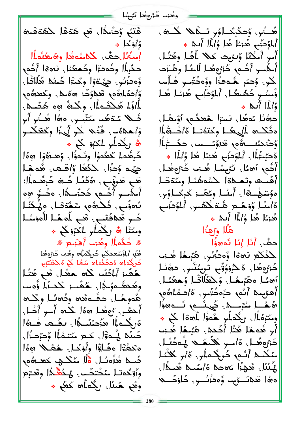وهُنم حُبْرُوهُا تَرْبِهُا هُــزُرٍ. وَحذَّبِنَــاوُرِ تــدُلا كَـــزهَ. فَتَبُ وَحَنُـدًا. شَ هَٰذَهَا كَهُدَهُ هَ ٱلمَوْدَىٰ هُنْنَا هُا وُٱلْمَا أَلَىٰ \* ۇ/ۈىگىل؛ أَمرِ أَمكْنَا وَمِئِهِ كَملاً لَمَصَا وِهَتُما. إمبَّرْنَا حِمَّ بِ كَلاسُوهُا وِهَ هُنْدُلُّهِ حدًّبأًا وحُددَّا وحُمعَنَا. تَ7ةَا أَخُم أَلْكُسِر أُشُمِ خَرَّوهُما لَّاسُا وِهُـْوَت وَّەدُىُبْ حَيُّمَّوْا وِكَتْزَا كَىلُا ھَٰلَاتْلَ. لْكُنِ. وَحَمَّ هُـُـهِـدُّا وِوُّهِحُتُمِـنِ هُـأَمَـنَ ؤَسْسُرٍ حُھُىعُماً. ٱلمُؤِدَّنِي هُزسُا هُـا وَاحِفُلْهُم هُدْوُجٌ هَمْ . وكَعِدَةُ مِ أوُلْمِلْكُمْ مِنْ يَوْ لْمُؤْلِم هُجْشُماً!. وكُنْ وه هُشُجْ. ثَــلا مُــٰقَقُ مَنْنَـــرِ. 106 هُــُر أَر دەُنا غەھَا. تىما خىنگە آۇيھال. وْاھلەُف. قُنُمْهُ كُمْرٍ أَيْءًا وِكْفَكْسُو دَيْكَ مِنْكُمْ لِمَعْظَمِ الْمَصْرِكَةُ مَسْتَدْهُ مَا ۋە رېڭدامبر لم*ا*كتېۋە كىل پە وُحْبْحِبُنِــــوهُ مِ هُدَوِّصِّــــب ِ حَكَـــَــّْبِذَا كُرِهُدا كَعُدُوا وِئُدوُا. وُهدهُوۤا هِءُا هُحَبُّتُهُ!. ٱلْمُؤْحَنِّبِ هُنْنَا هُا وُٱلْمَا \* دَيْء وَدُرًا. حَكَمُدًا وَ/قَـم. هُدهَــا أَحُم أهمًا. تُوُّبِسًا هُـزَ خَرَّوهُـا. هُـِي هُـرِؤْبٍ . هُكَنُـا دُـِـهَ كَـرَهُــماًا: أُهًـــه وتعـــاةا للشَّمعُـُــا وسُتَوْحَــا أَلَّكْسِرِ أَضُّـٰهِ كُحَنُّسُـٰهَا. هوُــُرٌ وَه ەۆتنۈگ ۋا، أىئا وڭگ; كېگىلۇس. ئەؤَىب. ئُكْتُوم شَعْتَوْصًا. ولَكُنُّا ة/مبُّل وُوْهُــع هُــة كُهُمنِ. أَلمُوْجَنِّب حُــرِ مْدْكَنْـــعِ. مْــع لَمْعُــا لأُهوَمُــا هُذِيَا هُا وُآٰ أَا أَيهِ ﴾ ومئثا ڤ ريْدمُلو لمَكبَوْكم \* هُلًا وَوَجْوَ @ حُذُه أَل وهُن، أَعْنَى هِ حقٌّ. أَبُلُّ إِبُلُّ ثَوْرَةُ إ هُنَّهٖ ٱللزَّمُعطلُّ خَرِيْكَ أَلَّهٖ وَهُنَّتَ خَرَّوهُا<br>خَرِيْكَمْلَهُ هَجَدُّدْهُ مُتَعَاظِ لَّا هَ كَفَنَّتَبِع لْمُمْكُمْ نَهَةَا وُءِدَٰٓئُو. هُزَىمًا هُـزَى كَرْوَهُا. هَكْرُوْوُتُ لَرِيمُنُس. دەُنُـا هَقَٰ: ٱلْمَكْتُ ݣُلُّ هُمْلْ. ثُمْ هَتُمْلُ أهنا ههَّبِعْل. وَحْمَلَاتْ إِحْمَكْلا. وِهُدِهُـوَوُهُ|. هُقُــ; كَذِرَٰا وْوس أُهرُمه أَلُه دَّوْدُتُو. ݣَاهكُمْ مِنْهُمْ هُومُا. حفْءهُده ودُهنًا وكُده هُ هُــا مُبْرِــــــمْ. كَهِـــهُـــهِ سُـــهِ هُـــهُ أُحقَىٰ ۚ رُومُا مِهُ الْكُلُّ أُسِرٍ أَحُلٌ ﴾ وِمَّةِهُمَّالِ رَبُّكُمْ مِمَّعُوْا £30 كَلْ \* هُرِيْـُـمِلَمْ مِنْحِنْنُــدًا. بِفَــمَا فُــوَا أَبِ هُدها هُنْا أَحُدا. هُبُعُا هُـ:-حُىبُكُمْ إِنَّــوْلَ كَــعِ مَتَــمُلَّمَ وَجَحَدُّلَ. كَرَّوهُـا. هَاسو ݣْلْكُــه فْـعَـٰدا. هِ ْحَكَّتْرَا هُ صَلَّوْٓا وأَوْحُلَ هُمْصُلًا هِهَٰا مَكْنَكُمْ أَنُنُو خَرِيْكُومُ أَرِ. وَأَرِ كَلَّمُنَا ئىلا ھُزُەنُا. ۞ُل مَنْكَلِي كَعَنْ وَوَنَ لْمُنُلْ. مْدِمْ: عَمْدَهْ وَاسْمَدْ هُمْدًا. وَٱوْبُدِيْنَا مُجَدَّدُبٍ. لِمَحُثُّكُمَّا وَهْدَمِ ەھْلْ ھْكْلَــــرْمِبْ وْدْدُنُـــــر. خْلْوْخَـــــلا وقع هَملُا. رِبُكْماُه كَعَمْ \*